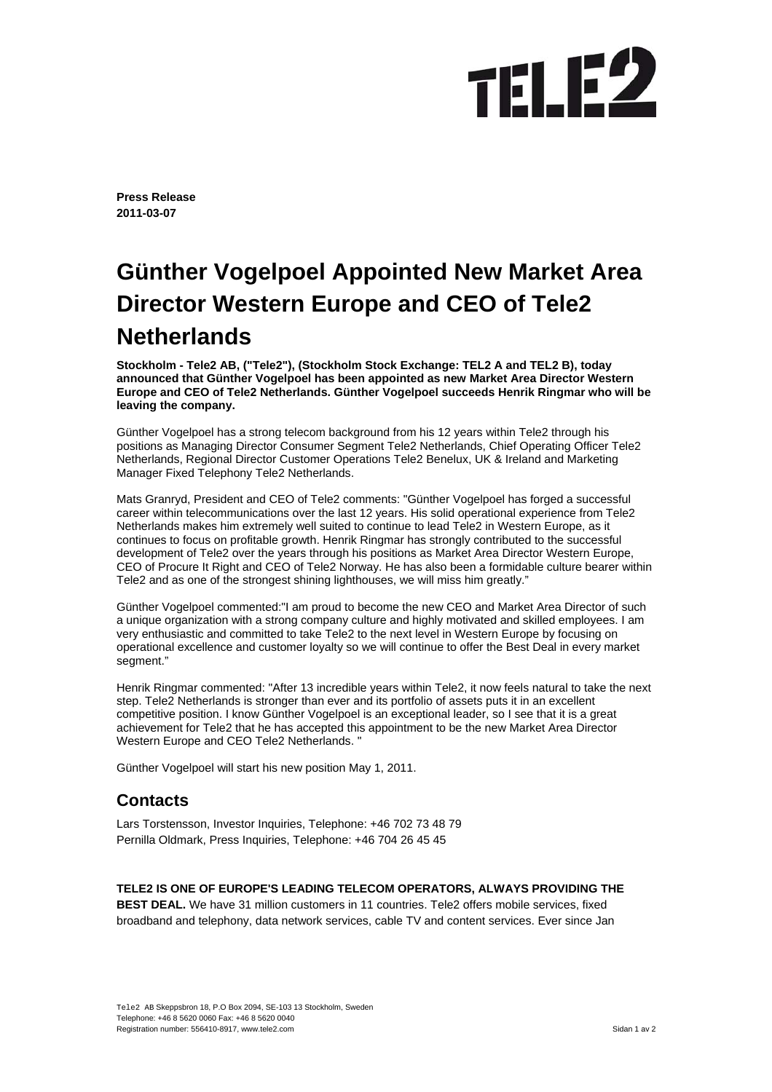## TEL **E2**

**Press Release 2011-03-07** 

## **Günther Vogelpoel Appointed New Market Area Director Western Europe and CEO of Tele2 Netherlands**

**Stockholm - Tele2 AB, ("Tele2"), (Stockholm Stock Exchange: TEL2 A and TEL2 B), today announced that Günther Vogelpoel has been appointed as new Market Area Director Western Europe and CEO of Tele2 Netherlands. Günther Vogelpoel succeeds Henrik Ringmar who will be leaving the company.** 

Günther Vogelpoel has a strong telecom background from his 12 years within Tele2 through his positions as Managing Director Consumer Segment Tele2 Netherlands, Chief Operating Officer Tele2 Netherlands, Regional Director Customer Operations Tele2 Benelux, UK & Ireland and Marketing Manager Fixed Telephony Tele2 Netherlands.

Mats Granryd, President and CEO of Tele2 comments: "Günther Vogelpoel has forged a successful career within telecommunications over the last 12 years. His solid operational experience from Tele2 Netherlands makes him extremely well suited to continue to lead Tele2 in Western Europe, as it continues to focus on profitable growth. Henrik Ringmar has strongly contributed to the successful development of Tele2 over the years through his positions as Market Area Director Western Europe, CEO of Procure It Right and CEO of Tele2 Norway. He has also been a formidable culture bearer within Tele2 and as one of the strongest shining lighthouses, we will miss him greatly."

Günther Vogelpoel commented:"I am proud to become the new CEO and Market Area Director of such a unique organization with a strong company culture and highly motivated and skilled employees. I am very enthusiastic and committed to take Tele2 to the next level in Western Europe by focusing on operational excellence and customer loyalty so we will continue to offer the Best Deal in every market segment."

Henrik Ringmar commented: "After 13 incredible years within Tele2, it now feels natural to take the next step. Tele2 Netherlands is stronger than ever and its portfolio of assets puts it in an excellent competitive position. I know Günther Vogelpoel is an exceptional leader, so I see that it is a great achievement for Tele2 that he has accepted this appointment to be the new Market Area Director Western Europe and CEO Tele2 Netherlands.

Günther Vogelpoel will start his new position May 1, 2011.

## **Contacts**

Lars Torstensson, Investor Inquiries, Telephone: +46 702 73 48 79 Pernilla Oldmark, Press Inquiries, Telephone: +46 704 26 45 45

**TELE2 IS ONE OF EUROPE'S LEADING TELECOM OPERATORS, ALWAYS PROVIDING THE BEST DEAL.** We have 31 million customers in 11 countries. Tele2 offers mobile services, fixed

broadband and telephony, data network services, cable TV and content services. Ever since Jan